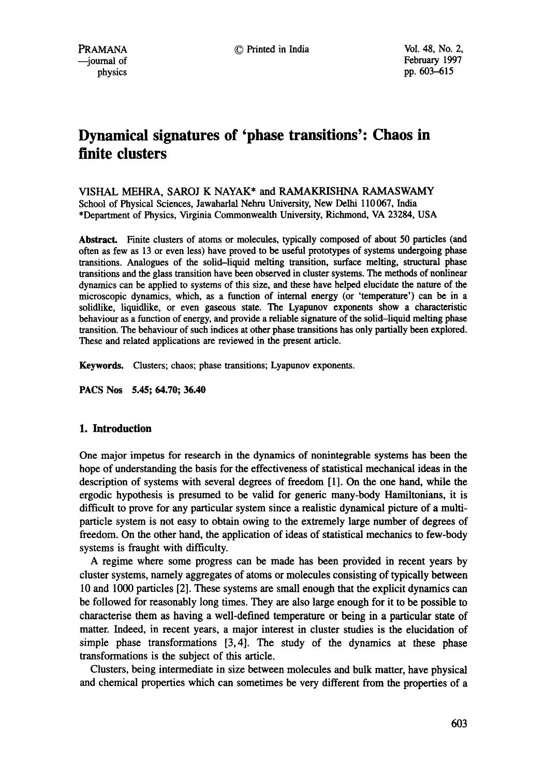# **Dynamical signatures of 'phase transitions': Chaos in finite clusters**

VISHAL MEHRA, SAROJ K NAYAK\* and RAMAKRISHNA RAMASWAMY School of Physical Sciences, Jawaharlal Nehru University, New Delhi 110067, India \*Department of Physics, Virginia Commonwealth University, Richmond, VA 23284, USA

**Abstract.** Finite clusters of atoms or molecules, typically composed of about 50 particles (and often as few as 13 or even less) have proved to be useful prototypes of systems undergoing phase transitions. Analogues of the solid-liqnid melting transition, surface melting, structural phase transitions and the glass transition have been observed in cluster systems. The methods of nonlinear dynamics can be applied to systems of this size, and these have helped elucidate the nature of the microscopic dynamics, which, as a function of internal energy (or 'temperature') can be in a solidlike, liquidlike, or even gaseous state. The Lyapunov exponents show a characteristic behaviour as a function of energy, and provide a reliable signature of the solid-liquid melting phase transition. The behaviour of such indices at other phase transitions has only partially been explored. These and related applications are reviewed in the present article.

Keywords. Clusters; chaos; phase transitions; Lyapunov exponents.

**PACS Nos 5.45; 64.70; 36.40** 

# **1. Introduction**

One major impetus for research in the dynamics of nonintegrable systems has been the hope of understanding the basis for the effectiveness of statistical mechanical ideas in the description of systems with several degrees of freedom [1]. On the one hand, while the ergodic hypothesis is presumed to be valid for generic many-body Hamiltonians, it is difficult to prove for any particular system since a realistic dynamical picture of a multiparticle system is not easy to obtain owing to the extremely large number of degrees of freedom. On the other hand, the application of ideas of statistical mechanics to few-body systems is fraught with difficulty.

A regime where some progress can be made has been provided in recent years by cluster systems, namely aggregates of atoms or molecules consisting of typically between 10 and 1000 particles [2]. These systems are small enough that the explicit dynamics can be followed for reasonably long times. They are also large enough for it to be possible to characterise them as having a well-defined temperature or being in a particular state of matter. Indeed, in recent years, a major interest in cluster studies is the elucidation of simple phase transformations [3,4]. The study of the dynamics at these phase transformations is the subject of this article.

Clusters, being intermediate in size between molecules and bulk matter, have physical and chemical properties which can sometimes be very different from the properties of a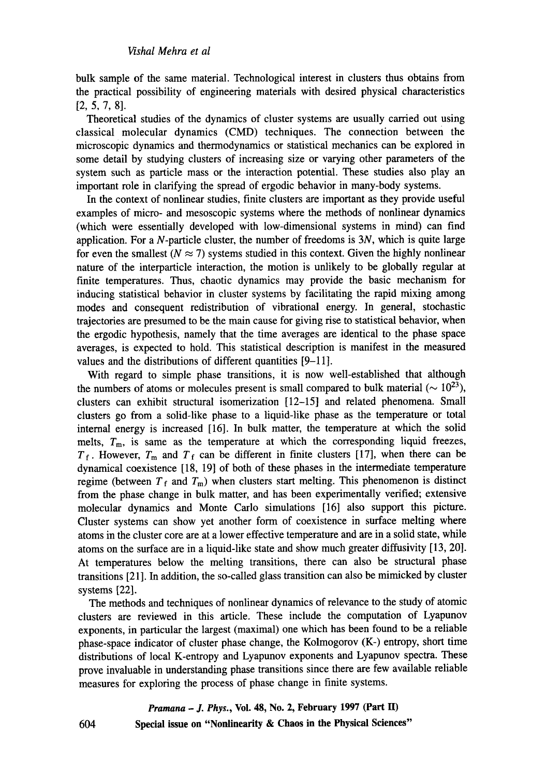bulk sample of the same material. Technological interest in clusters thus obtains from the practical possibility of engineering materials with desired physical characteristics [2, 5, 7, 8].

Theoretical studies of the dynamics of cluster systems are usually carried out using classical molecular dynamics (CMD) techniques. The connection between the microscopic dynamics and thermodynamics or statistical mechanics can be explored in some detail by studying clusters of increasing size or varying other parameters of the system such as particle mass or the interaction potential. These studies also play an important role in clarifying the spread of ergodic behavior in many-body systems.

In the context of nonlinear studies, finite clusters are important as they provide useful examples of micro- and mesoscopic systems where the methods of nonlinear dynamics (which were essentially developed with low-dimensional systems in mind) can find application. For a  $N$ -particle cluster, the number of freedoms is  $3N$ , which is quite large for even the smallest ( $N \approx 7$ ) systems studied in this context. Given the highly nonlinear nature of the interparticle interaction, the motion is unlikely to be globally regular at finite temperatures. Thus, chaotic dynamics may provide the basic mechanism for inducing statistical behavior in cluster systems by facilitating the rapid mixing among modes and consequent redistribution of vibrational energy. In general, stochastic trajectories are presumed to be the main cause for giving rise to statistical behavior, when the ergodic hypothesis, namely that the time averages are identical to the phase space averages, is expected to hold. This statistical description is manifest in the measured values and the distributions of different quantities [9-11].

With regard to simple phase transitions, it is now well-established that although the numbers of atoms or molecules present is small compared to bulk material ( $\sim 10^{23}$ ), clusters can exhibit structural isomerization [12-15] and related phenomena. Small clusters go from a solid-like phase to a liquid-like phase as the temperature or total internal energy is increased [16]. In bulk matter, the temperature at which the solid melts,  $T_m$ , is same as the temperature at which the corresponding liquid freezes,  $T_f$ . However,  $T_m$  and  $T_f$  can be different in finite clusters [17], when there can be dynamical coexistence [18, 19] of both of these phases in the intermediate temperature regime (between  $T_f$  and  $T_m$ ) when clusters start melting. This phenomenon is distinct from the phase change in bulk matter, and has been experimentally verified; extensive molecular dynamics and Monte Carlo simulations [16] also support this picture. Cluster systems can show yet another form of coexistence in surface melting where atoms in the cluster core are at a lower effective temperature and are in a solid state, while atoms on the surface are in a liquid-like state and show much greater diffusivity [13, 20]. At temperatures below the melting transitions, there can also be structural phase transitions [21]. In addition, the so-called glass transition can also be mimicked by cluster systems [22].

The methods and techniques of nonlinear dynamics of relevance to the study of atomic clusters are reviewed in this article. These include the computation of Lyapunov exponents, in particular the largest (maximal) one which has been found to be a reliable phase-space indicator of cluster phase change, the Kolmogorov (K-) entropy, short time distributions of local K-entropy and Lyapunov exponents and Lyapunov spectra. These prove invaluable in understanding phase transitions since there are few available reliable measures for exploring the process of phase change in finite systems.

*Pramana - J. Phys.,* **Vol. 48, No. 2, February 1997 (Part H) Special issue on "Nonlinearity & Chaos in the Physical Sciences"** 

604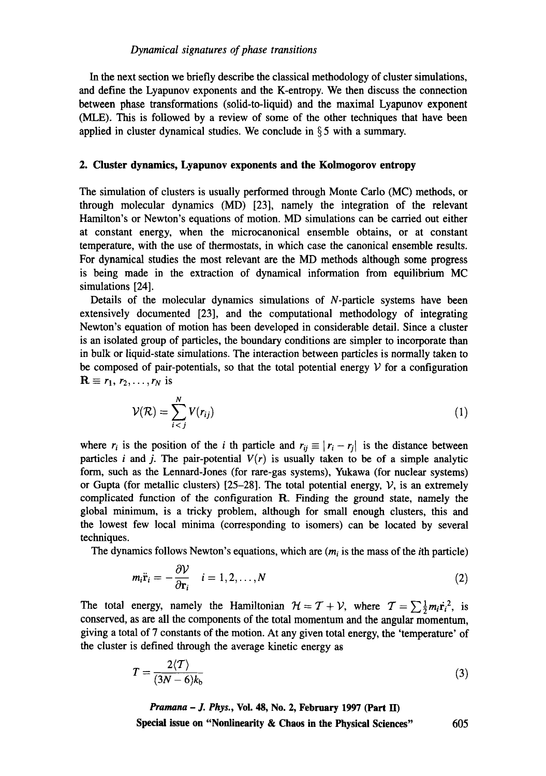In the next section we briefly describe the classical methodology of cluster simulations, and define the Lyapunov exponents and the K-entropy. We then discuss the connection between phase transformations (solid-to-liquid) and the maximal Lyapunov exponent (MLE). This is followed by a review of some of the other techniques that have been applied in cluster dynamical studies. We conclude in § 5 with a summary.

#### **2. Cluster dynamics, Lyapunov exponents and the Kolmogorov entropy**

The simulation of clusters is usually performed through Monte Carlo (MC) methods, or through molecular dynamics (MD) [23], namely the integration of the relevant Hamilton's or Newton's equations of motion. MD simulations can be carried out either at constant energy, when the microcanonical ensemble obtains, or at constant temperature, with the use of thermostats, in which case the canonical ensemble results. For dynamical studies the most relevant are the MD methods although some progress is being made in the extraction of dynamical information from equilibrium MC simulations [24].

Details of the molecular dynamics simulations of N-particle systems have been extensively documented [23], and the computational methodology of integrating Newton's equation of motion has been developed in considerable detail. Since a cluster is an isolated group of particles, the boundary conditions are simpler to incorporate than in bulk or liquid-state simulations. The interaction between particles is normally taken to be composed of pair-potentials, so that the total potential energy  $\mathcal V$  for a configuration  $\mathbf{R} \equiv r_1, r_2, \ldots, r_N$  is

$$
\mathcal{V}(\mathcal{R}) = \sum_{i < j}^{N} V(r_{ij}) \tag{1}
$$

where  $r_i$  is the position of the i th particle and  $r_{ij} \equiv |r_i - r_j|$  is the distance between particles *i* and *j*. The pair-potential  $V(r)$  is usually taken to be of a simple analytic form, such as the Lennard-Jones (for rare-gas systems), Yukawa (for nuclear systems) or Gupta (for metallic clusters)  $[25-28]$ . The total potential energy,  $\mathcal{V}$ , is an extremely complicated function of the configuration R. Finding the ground state, namely the global minimum, is a tricky problem, although for small enough clusters, this and the lowest few local minima (corresponding to isomers) can be located by several techniques.

The dynamics follows Newton's equations, which are  $(m_i$  is the mass of the *i*th particle)

$$
m_i \ddot{\mathbf{r}}_i = -\frac{\partial \mathcal{V}}{\partial \mathbf{r}_i} \quad i = 1, 2, \dots, N \tag{2}
$$

The total energy, namely the Hamiltonian  $\mathcal{H} = \mathcal{T} + \mathcal{V}$ , where  $\mathcal{T} = \sum \frac{1}{2} m_i \dot{r}_i^2$ , is conserved, as are all the components of the total momentum and the angular momentum, giving a total of 7 constants of the motion. At any given total energy, the 'temperature' of the cluster is defined through the average kinetic energy as

$$
T = \frac{2\langle T \rangle}{(3N - 6)k_{\text{b}}}
$$
\n
$$
\tag{3}
$$

*Pramana - J. Phys.,* **Vol. 48, No. 2, February 1997 (Part 11) Special issue on "Nonlinearity & Chaos in the Physical Sciences"** 605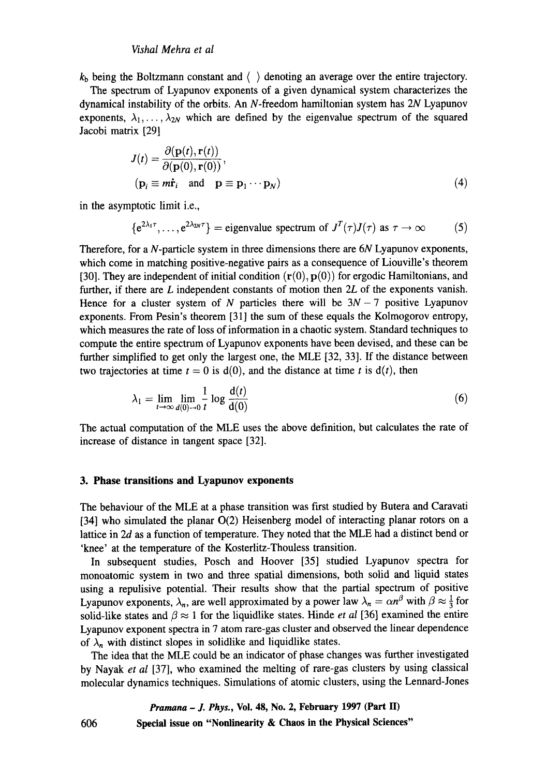## *Vishal Mehra et al*

 $k_b$  being the Boltzmann constant and  $\langle \ \rangle$  denoting an average over the entire trajectory.

The spectrum of Lyapunov exponents of a given dynamical system characterizes the dynamical instability of the orbits. An N-freedom hamiltonian system has 2N Lyapunov exponents,  $\lambda_1, \ldots, \lambda_{2N}$  which are defined by the eigenvalue spectrum of the squared Jacobi matrix [29]

$$
J(t) = \frac{\partial (\mathbf{p}(t), \mathbf{r}(t))}{\partial (\mathbf{p}(0), \mathbf{r}(0))},
$$
  
\n
$$
(\mathbf{p}_i \equiv m\dot{\mathbf{r}}_i \text{ and } \mathbf{p} \equiv \mathbf{p}_1 \cdots \mathbf{p}_N)
$$
\n(4)

in the asymptotic limit i.e.,

$$
\{e^{2\lambda_1\tau}, \dots, e^{2\lambda_{2N}\tau}\} = \text{eigenvalue spectrum of } J^T(\tau)J(\tau) \text{ as } \tau \to \infty \tag{5}
$$

Therefore, for a N-particle system in three dimensions there are 6N Lyapunov exponents, which come in matching positive-negative pairs as a consequence of Liouville's theorem [30]. They are independent of initial condition  $(\mathbf{r}(0), \mathbf{p}(0))$  for ergodic Hamiltonians, and further, if there are L independent constants of motion then 2L of the exponents vanish. Hence for a cluster system of N particles there will be  $3N-7$  positive Lyapunov exponents. From Pesin's theorem [31] the sum of these equals the Kolmogorov entropy, which measures the rate of loss of information in a chaotic system. Standard techniques to compute the entire spectrum of Lyapunov exponents have been devised, and these can be further simplified to get only the largest one, the MLE [32, 33]. If the distance between two trajectories at time  $t = 0$  is  $d(0)$ , and the distance at time t is  $d(t)$ , then

$$
\lambda_1 = \lim_{t \to \infty} \lim_{d(0) \to 0} \frac{1}{t} \log \frac{d(t)}{d(0)} \tag{6}
$$

The actual computation of the MLE uses the above definition, but calculates the rate of increase of distance in tangent space [32].

#### **3. Phase transitions and Lyapunov exponents**

The behaviour of the MLE at a phase transition was first studied by Butera and Caravati [34] who simulated the planar 0(2) Heisenberg model of interacting planar rotors on a lattice in 2d as a function of temperature. They noted that the MLE had a distinct bend or 'knee' at the temperature of the Kosterlitz-Thouless transition.

In subsequent studies, Posch and Hoover [35] studied Lyapunov spectra for monoatomic system in two and three spatial dimensions, both solid and liquid states using a repulisive potential. Their results show that the partial spectrum of positive Lyapunov exponents,  $\lambda_n$ , are well approximated by a power law  $\lambda_n = \alpha n^{\beta}$  with  $\beta \approx \frac{1}{3}$  for solid-like states and  $\beta \approx 1$  for the liquidlike states. Hinde *et al* [36] examined the entire Lyapunov exponent spectra in 7 atom rare-gas cluster and observed the linear dependence of  $\lambda_n$  with distinct slopes in solidlike and liquidlike states.

The idea that the MLE could be an indicator of phase changes was further investigated by Nayak *et al* [37], who examined the melting of rare-gas clusters by using classical molecular dynamics techniques. Simulations of atomic clusters, using the Lennard-Jones

> *Pramana - J. Phys.,* **Vol. 48, No. 2, February 1997 (Part H) Special issue on "Nonlinearity & Chaos in the Physical Sciences"**

606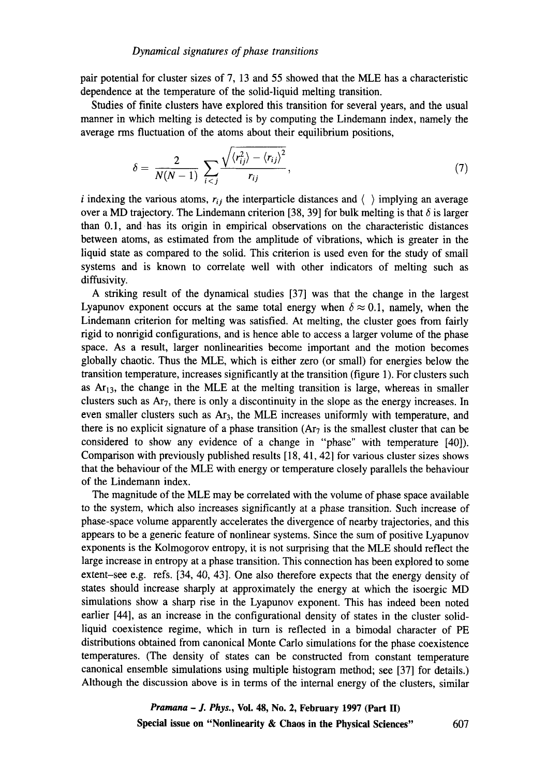pair potential for cluster sizes of 7, 13 and 55 showed that the MLE has a characteristic dependence at the temperature of the solid-liquid melting transition.

Studies of finite clusters have explored this transition for several years, and the usual manner in which melting is detected is by computing the Lindemann index, namely the average rms fluctuation of the atoms about their equilibrium positions,

$$
\delta = \frac{2}{N(N-1)} \sum_{i < j} \frac{\sqrt{\langle r_{ij}^2 \rangle - \langle r_{ij} \rangle^2}}{r_{ij}},\tag{7}
$$

*i* indexing the various atoms,  $r_{ij}$  the interparticle distances and  $\langle \rangle$  implying an average over a MD trajectory. The Lindemann criterion [38, 39] for bulk melting is that  $\delta$  is larger than 0.1, and has its origin in empirical observations on the characteristic distances between atoms, as estimated from the amplitude of vibrations, which is greater in the liquid state as compared to the solid. This criterion is used even for the study of small systems and is known to correlate well with other indicators of melting such as diffusivity.

A striking result of the dynamical studies [37] was that the change in the largest Lyapunov exponent occurs at the same total energy when  $\delta \approx 0.1$ , namely, when the Lindemann criterion for melting was satisfied. At melting, the cluster goes from fairly rigid to nonrigid configurations, and is hence able to access a larger volume of the phase space. As a result, larger nonlinearities become important and the motion becomes globally chaotic. Thus the MLE, which is either zero (or small) for energies below the transition temperature, increases significantly at the transition (figure 1). For clusters such as  $Ar<sub>13</sub>$ , the change in the MLE at the melting transition is large, whereas in smaller clusters such as Ar7, there is only a discontinuity in the slope as the energy increases. In even smaller clusters such as Ar3, the MLE increases uniformly with temperature, and there is no explicit signature of a phase transition  $(A_{T_7})$  is the smallest cluster that can be considered to show any evidence of a change in "phase" with temperature [40]). Comparison with previously published results [18, 41, 42] for various cluster sizes shows that the behaviour of the MLE with energy or temperature closely parallels the behaviour of the Lindemann index.

The magnitude of the MLE may be correlated with the volume of phase space available to the system, which also increases significantly at a phase transition. Such increase of phase-space volume apparently accelerates the divergence of nearby trajectories, and this appears to be a generic feature of nonlinear systems. Since the sum of positive Lyapunov exponents is the Kolmogorov entropy, it is not surprising that the MLE should reflect the large increase in entropy at a phase transition. This connection has been explored to some extent-see e.g. refs. [34, 40, 43]. One also therefore expects that the energy density of states should increase sharply at approximately the energy at which the isoergic MD simulations show a sharp rise in the Lyapunov exponent. This has indeed been noted earlier [44], as an increase in the configurational density of states in the cluster solidliquid coexistence regime, which in turn is reflected in a bimodal character of PE distributions obtained from canonical Monte Carlo simulations for the phase coexistence temperatures. (The density of states can be constructed from constant temperature canonical ensemble simulations using multiple histogram method; see [37] for details.) Although the discussion above is in terms of the internal energy of the clusters, similar

> *Pramana - J. Phys.,* **Vol. 48, No. 2, February 1997 (Part II) Special issue on "Nonlinearity & Chaos in the Physical Sciences"** 607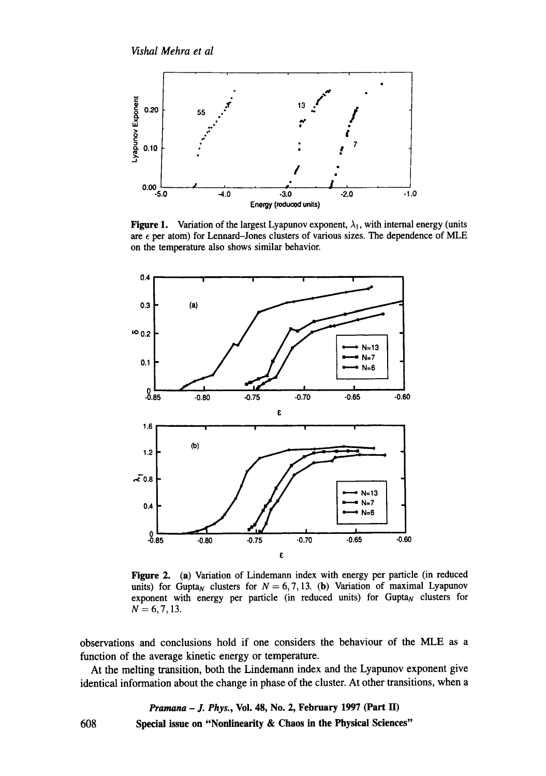

Figure 1. Variation of the largest Lyapunov exponent,  $\lambda_1$ , with internal energy (units are  $\epsilon$  per atom) for Lennard-Jones clusters of various sizes. The dependence of MLE on the temperature also shows similar behavior.



Figure 2. (a) Variation of Lindemann index with energy per particle (in reduced units) for Gupta<sub>N</sub> clusters for  $N = 6, 7, 13$ . (b) Variation of maximal Lyapunov exponent with energy per particle (in reduced units) for  $Gupta_N$  clusters for  $N = 6, 7, 13.$ 

observations and conclusions hold if one considers the behaviour of the MLE as a function of the average kinetic energy or temperature.

At the melting transition, both the Lindemann index and the Lyapunov exponent give identical information about the change in phase of the cluster. At other transitions, when a

> *Pramana - J. Phys.,* **Vol. 48, No. 2, February 1997 (Part H) Special issue on "Nonlinearity & Chaos in the Physical Sciences"**

608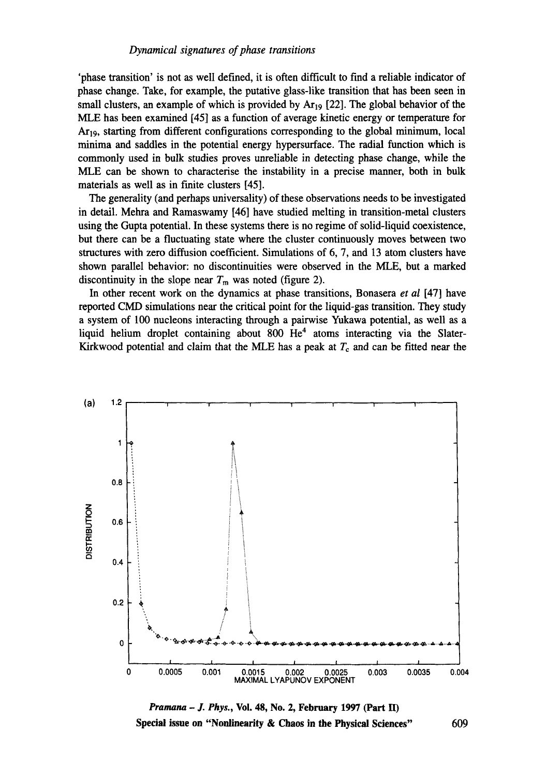# *Dynamical signatures of phase transitions*

'phase transition' is not as well defined, it is often difficult to find a reliable indicator of phase change. Take, for example, the putative glass-like transition that has been seen in small clusters, an example of which is provided by  $Ar_{19}$  [22]. The global behavior of the MLE has been examined [45] as a function of average kinetic energy or temperature for Ar19, starting from different configurations corresponding to the global minimum, local minima and saddles in the potential energy hypersurface. The radial function which is commonly used in bulk studies proves unreliable in detecting phase change, while the MLE can be shown to characterise the instability in a precise manner, both in bulk materials as well as in finite clusters [45].

The generality (and perhaps universality) of these observations needs to be investigated in detail. Mehra and Ramaswamy [46] have studied melting in transition-metal clusters using the Gupta potential. In these systems there is no regime of solid-liquid coexistence, but there can be a fluctuating state where the cluster continuously moves between two structures with zero diffusion coefficient. Simulations of 6, 7, and 13 atom clusters have shown parallel behavior: no discontinuities were observed in the NILE, but a marked discontinuity in the slope near  $T_m$  was noted (figure 2).

In other recent work on the dynamics at phase transitions, Bonasera *et al* [47] have reported CMD simulations near the critical point for the liquid-gas transition. They study a system of 100 nucleons interacting through a pairwise Yukawa potential, as well as a liquid helium droplet containing about 800  $He<sup>4</sup>$  atoms interacting via the Slater-Kirkwood potential and claim that the MLE has a peak at  $T_c$  and can be fitted near the



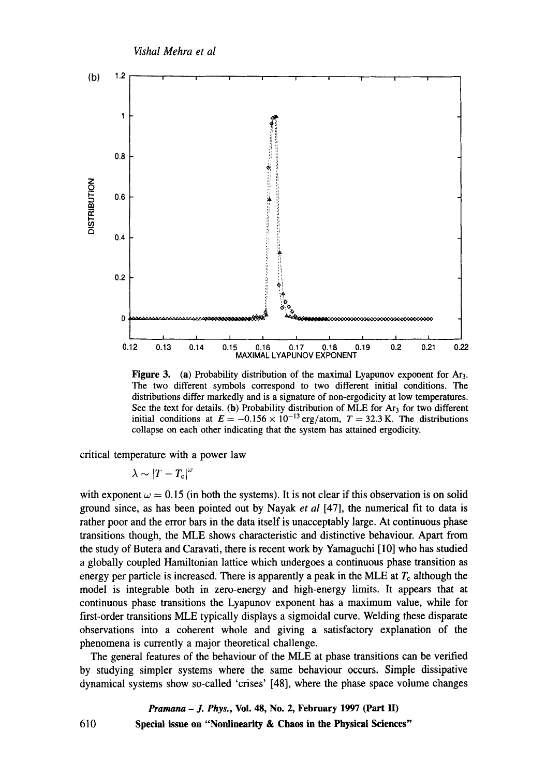

Figure 3. (a) Probability distribution of the maximal Lyapunov exponent for Ar<sub>3</sub>. The two different symbols correspond to two different initial conditions. The distributions differ markedly and is a signature of non-ergodicity at low temperatures. See the text for details. (b) Probability distribution of MLE for  $Ar<sub>3</sub>$  for two different initial conditions at  $E = -0.156 \times 10^{-13} \text{ erg/atom}$ ,  $T = 32.3 \text{ K}$ . The distributions collapse on each other indicating that the system has attained ergodicity.

critical temperature with a power law

 $\lambda \sim |T-T_c|^\omega$ 

610

with exponent  $\omega = 0.15$  (in both the systems). It is not clear if this observation is on solid ground since, as has been pointed out by Nayak *et al* [47], the numerical fit to data is rather poor and the error bars in the data itself is unacceptably large. At continuous phase transitions though, the MLE shows characteristic and distinctive behaviour. Apart from the study of Butera and Caravati, there is recent work by Yamaguchi [10] who has studied a globally coupled Hamiltonian lattice which undergoes a continuous phase transition as energy per particle is increased. There is apparently a peak in the MLE at  $T_c$  although the model is integrable both in zero-energy and high-energy limits. It appears that at continuous phase transitions the Lyapunov exponent has a maximum value, while for first-order transitions MLE typically displays a sigmoidal curve. Welding these disparate observations into a coherent whole and giving a satisfactory explanation of the phenomena is currently a major theoretical challenge.

The general features of the behaviour of the MLE at phase transitions can be verified by studying simpler systems where the same behaviour occurs. Simple dissipative dynamical systems show so-called 'crises' [48], where the phase space volume changes

*Pramana - J. Phys.,* Vol. 48, No. 2, February 1997 (Part H) **Special issue on "Nonlinearity & Chaos in the Physical Sciences"**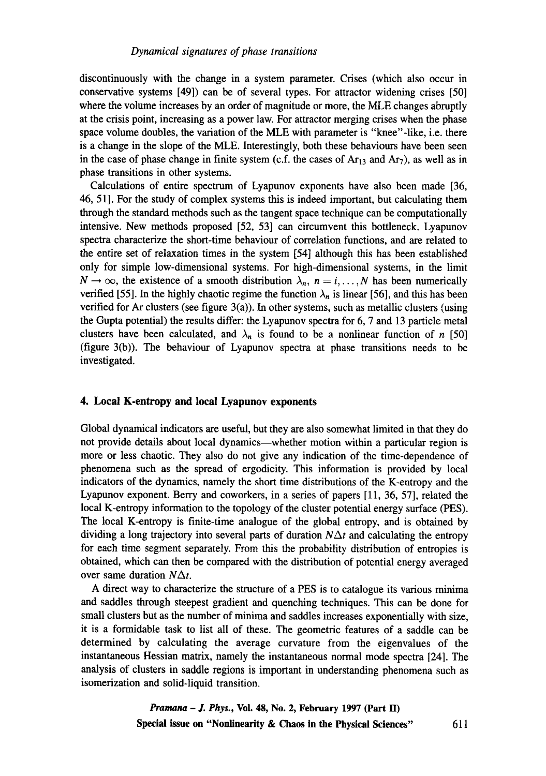discontinuously with the change in a system parameter. Crises (which also occur in conservative systems [49]) can be of several types. For attractor widening crises [50] where the volume increases by an order of magnitude or more, the MLE changes abruptly at the crisis point, increasing as a power law. For attractor merging crises when the phase space volume doubles, the variation of the MLE with parameter is "knee"-like, i.e. there is a change in the slope of the MLE. Interestingly, both these behaviours have been seen in the case of phase change in finite system (c.f. the cases of  $Ar_{13}$  and  $Ar_{7}$ ), as well as in phase transitions in other systems.

Calculations of entire spectrum of Lyapunov exponents have also been made [36, 46, 51]. For the study of complex systems this is indeed important, but calculating them through the standard methods such as the tangent space technique can be computationally intensive. New methods proposed [52, 53] can circumvent this bottleneck. Lyapunov spectra characterize the short-time behaviour of correlation functions, and are related to the entire set of relaxation times in the system [54] although this has been established only for simple low-dimensional systems. For high-dimensional systems, in the limit  $N \to \infty$ , the existence of a smooth distribution  $\lambda_n$ ,  $n = i, \ldots, N$  has been numerically verified [55]. In the highly chaotic regime the function  $\lambda_n$  is linear [56], and this has been verified for Ar clusters (see figure  $3(a)$ ). In other systems, such as metallic clusters (using the Gupta potential) the results differ: the Lyapunov spectra for 6, 7 and 13 particle metal clusters have been calculated, and  $\lambda_n$  is found to be a nonlinear function of n [50] (figure 3(b)). The behaviour of Lyapunov spectra at phase transitions needs to be investigated.

## **4. Local K-entropy and local Lyapunov exponents**

Global dynamical indicators are useful, but they are also somewhat limited in that they do not provide details about local dynamics—whether motion within a particular region is more or less chaotic. They also do not give any indication of the time-dependence of phenomena such as the spread of ergodicity. This information is provided by local indicators of the dynamics, namely the short time distributions of the K-entropy and the Lyapunov exponent. Berry and coworkers, in a series of papers [11, 36, 57], related the local K-entropy information to the topology of the cluster potential energy surface (PES). The local K-entropy is finite-time analogue of the global entropy, and is obtained by dividing a long trajectory into several parts of duration  $N\Delta t$  and calculating the entropy for each time segment separately. From this the probability distribution of entropies is obtained, which can then be compared with the distribution of potential energy averaged over same duration  $N\Delta t$ .

A direct way to characterize the structure of a PES is to catalogue its various minima and saddles through steepest gradient and quenching techniques. This can be done for small clusters but as the number of minima and saddles increases exponentially with size, it is a formidable task to list all of these. The geometric features of a saddle can be determined by calculating the average curvature from the eigenvalues of the instantaneous Hessian matrix, namely the instantaneous normal mode spectra [24]. The analysis of clusters in saddle regions is important in understanding phenomena such as isomerization and solid-liquid transition.

> *Pramana - J. Phys.,* **Vol. 48, No. 2, February 1997 (Part H) Special issue on "Nonlinearity & Chaos in the Physical Sciences"** 611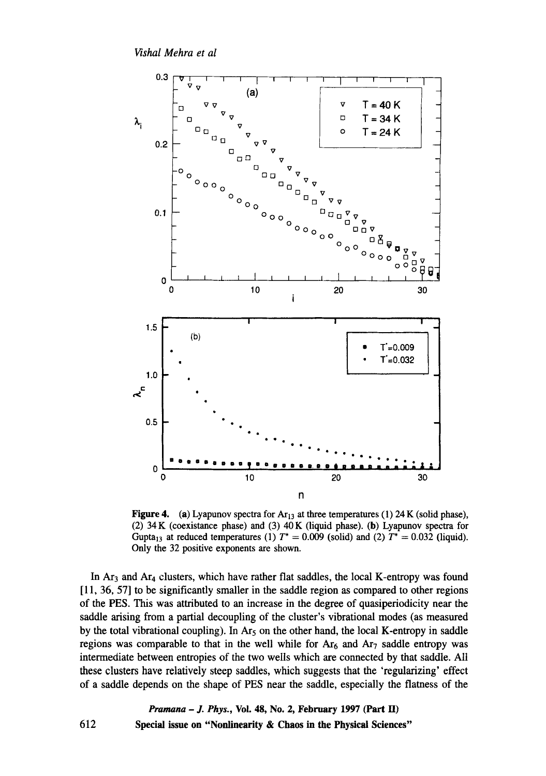*Vishal Mehra et al* 



**Figure 4.** (a) Lyapunov spectra for Ar<sub>13</sub> at three temperatures (1) 24 K (solid phase), **(2) 34 K (coexistance phase) and (3) 40 K (liquid phase). (b) Lyapunov spectra for**  Gupta<sub>13</sub> at reduced temperatures (1)  $T^* = 0.009$  (solid) and (2)  $T^* = 0.032$  (liquid). **Only the 32 positive exponents are shown.** 

In  $Ar_3$  and  $Ar_4$  clusters, which have rather flat saddles, the local K-entropy was found [11, 36, 57] to be significantly smaller in the saddle region as compared to other regions of the PES. This was attributed to an increase in the degree of quasiperiodicity near the saddle arising from a partial decoupling of the cluster's vibrational modes (as measured by the total vibrational coupling). In  $Ar<sub>5</sub>$  on the other hand, the local K-entropy in saddle regions was comparable to that in the well while for  $Ar_6$  and  $Ar_7$  saddle entropy was intermediate between entropies of the two wells which are connected by that saddle. All these clusters have relatively steep saddles, which suggests that the 'regularizing' effect of a saddle depends on the shape of PES near the saddle, especially the flatness of the

**612**  *Pramana - J. Phys.,* **Vol. 48, No. 2, February 1997 (Part H) Special issue on "Nonlinearity & Chaos in the Physical Sciences"**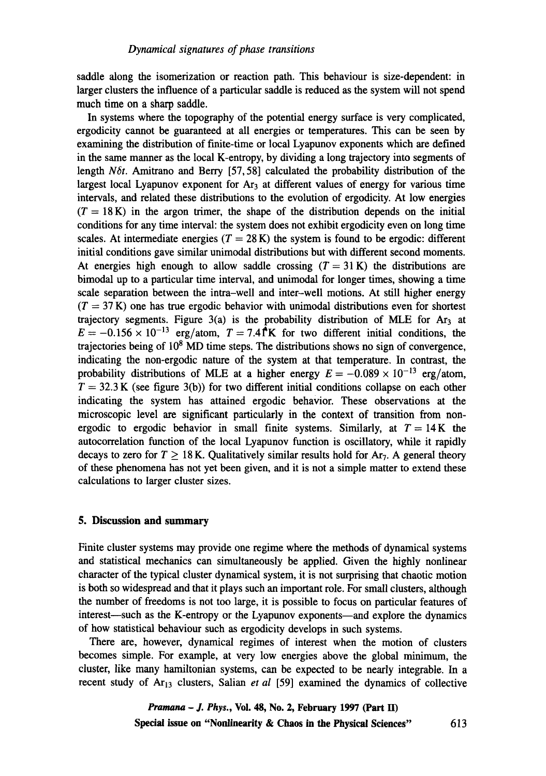saddle along the isomerization or reaction path. This behaviour is size-dependent: in larger clusters the influence of a particular saddle is reduced as the system will not spend much time on a sharp saddle.

In systems where the topography of the potential energy surface is very complicated, ergodicity cannot be guaranteed at all energies or temperatures. This can be seen by examining the distribution of finite-time or local Lyapunov exponents which are defined in the same manner as the local K-entropy, by dividing a long trajectory into segments of length *N6t.* Amitrano and Berry [57, 58] calculated the probability distribution of the largest local Lyapunov exponent for  $Ar<sub>3</sub>$  at different values of energy for various time intervals, and related these distributions to the evolution of ergodicity. At low energies  $(T = 18$ K) in the argon trimer, the shape of the distribution depends on the initial conditions for any time interval: the system does not exhibit ergodicity even on long time scales. At intermediate energies ( $T = 28$  K) the system is found to be ergodic: different initial conditions gave similar unimodal distributions but with different second moments. At energies high enough to allow saddle crossing  $(T = 31 \text{ K})$  the distributions are bimodal up to a particular time interval, and unimodal for longer times, showing a time scale separation between the intra-well and inter-well motions. At still higher energy  $(T = 37 K)$  one has true ergodic behavior with unimodal distributions even for shortest trajectory segments. Figure  $3(a)$  is the probability distribution of MLE for Ar<sub>3</sub> at  $E = -0.156 \times 10^{-13}$  erg/atom,  $T = 7.4$  ÅK for two different initial conditions, the trajectories being of  $10<sup>8</sup>$  MD time steps. The distributions shows no sign of convergence, indicating the non-ergodic nature of the system at that temperature. In contrast, the probability distributions of MLE at a higher energy  $E = -0.089 \times 10^{-13}$  erg/atom,  $T = 32.3$  K (see figure 3(b)) for two different initial conditions collapse on each other indicatiag the system has attained ergodic behavior. These observations at the microscopic level are significant particularly in the context of transition from nonergodic to ergodic behavior in small finite systems. Similarly, at  $T = 14$ K the autocorrelation function of the local Lyapunov function is oscillatory, while it rapidly decays to zero for  $T \ge 18$  K. Qualitatively similar results hold for Ar<sub>7</sub>. A general theory of these phenomena has not yet been given, and it is not a simple matter to extend these calculations to larger cluster sizes.

# **5. Discussion and summary**

Finite cluster systems may provide one regime where the methods of dynamical systems and statistical mechanics can simultaneously be applied. Given the highly nonlinear character of the typical cluster dynamical system, it is not surprising that chaotic motion is both so widespread and that it plays such an important role. For small clusters, although the number of freedoms is not too large, it is possible to focus on particular features of interest—such as the K-entropy or the Lyapunov exponents—and explore the dynamics of how statistical behaviour such as ergodicity develops in such systems.

There are, however, dynamical regimes of interest when the motion of clusters becomes simple. For example, at very low energies above the global minimum, the cluster, like many hamiltonian systems, can be expected to be nearly integrable. In a recent study of Ar<sub>13</sub> clusters, Salian *et al* [59] examined the dynamics of collective

> *Pramana - J. Phys.,* **Vol. 48, No. 2, February 1997 (Part lI) Special issue on "Nonlinearity & Chaos in the Physical Sciences"** 613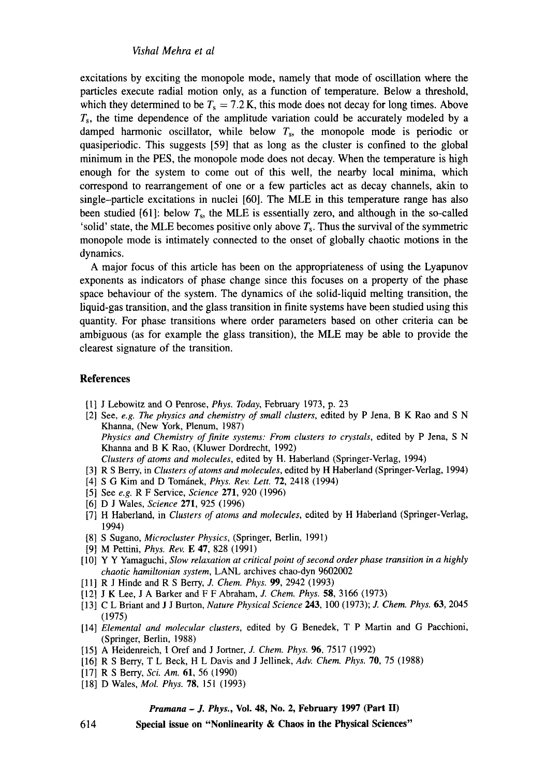*Vishal Mehra et al* 

excitations by exciting the monopole mode, namely that mode of oscillation where the particles execute radial motion only, as a function of temperature. Below a threshold, which they determined to be  $T_s = 7.2$  K, this mode does not decay for long times. Above  $T_s$ , the time dependence of the amplitude variation could be accurately modeled by a damped harmonic oscillator, while below  $T_s$ , the monopole mode is periodic or quasiperiodic. This suggests [59] that as long as the cluster is confined to the global minimum in the PES, the monopole mode does not decay. When the temperature is high enough for the system to come out of this well, the nearby local minima, which correspond to rearrangement of one or a few particles act as decay channels, akin to single-particle excitations in nuclei [60]. The MLE in this temperature range has also been studied  $[61]$ : below  $T_s$ , the MLE is essentially zero, and although in the so-called 'solid' state, the MLE becomes positive only above  $T_s$ . Thus the survival of the symmetric monopole mode is intimately connected to the onset of globally chaotic motions in the dynamics.

A major focus of this article has been on the appropriateness of using the Lyapunov exponents as indicators of phase change since this focuses on a property of the phase space behaviour of the system. The dynamics of the solid-liquid melting transition, the liquid-gas transition, and the glass transition in finite systems have been studied using this quantity. For phase transitions where order parameters based on other criteria can be ambiguous (as for example the glass transition), the MLE may be able to provide the clearest signature of the transition.

## **References**

- [|] J Lebowitz and O Penrose, *Phys. Today,* February 1973, p. 23
- [2] See, *e.g. The physics and chemistry of small clusters,* edited by P Jena, B K Rao and S N Khanna, (New York, Plenum, 1987) *Physics and Chemistry. of finite systems: From clusters to crystals,* edited by P Jena, S N Khanna and B K Rao, (Kluwer Dordrecht, 1992) *Clusters of atoms and molecules,* edited by H. Haberland (Springer-Verlag, 1994)
- [3] R S Berry, in *Clusters of atoms and molecules,* edited by H Haberland (Springer-Verlag, 1994)
- [4] S G Kim and D Tom~inek, *Phys. Rev. Lett.* 72, 2418 (1994)
- [5] See *e.g.* R F Service, *Science* 271, 920 (1996)
- [6] D J Wales, *Science* 271, 925 (1996)
- [7] H Haberland, in *Clusters of atoms and molecules,* edited by H Haberland (Springer-Verlag, 1994)
- [8] S Sugano, *Microcluster Physics,* (Springer, Berlin, 1991)
- [9] M Pettini, *Phys. Rev.* E 47, 828 (1991)
- [10] Y Y Yamaguchi, *Slow relaxation at critical point of second order phase transition in a highly chaotic hamiltonian system,* LANL archives chao-dyn 9602002
- [11] R J Hinde and R S Berry, J. *Chem. Phys.* 99, 2942 (1993)
- [12] J K Lee, J A Barker and F F Abraham, J. *Chem. Phys.* 58, 3166 (1973)
- [13] C L Briant and J J Burton, *Nature Physical Science* 243, 100 (1973); J. *Chem. Phys.* 63, 2045 (1975)
- [14] *Elemental and molecular clusters,* edited by G Benedek, T P Martin and G Pacchioni, (Springer, Berlin, 1988)
- [15] A Heidenreich, I Oref and J Jortner, J. *Chem. Phys.* 96, 7517 (1992)
- [16] R S Berry, T L Beck, H L Davis and J Jellinek, *Adv. Chem. Phys.* 70, 75 (1988)
- [17] R S Berry, *Sci. Am.* 61, 56 (1990)
- [18] D Wales, *Mol. Phys.* 78, 151 (1993)

## *Pramana - J. Phys.,* **Vol. 48, No. 2, February 1997 (Part II)**

614

**Special issue on "Nonlinearity & Chaos in the Physical Sciences"**